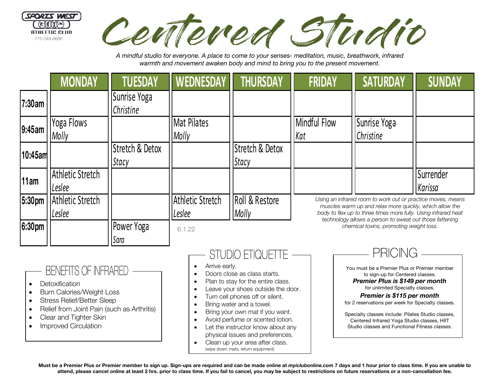

Centered Studio

*A mindful studio for everyone. A place to come to your senses- meditation, music, breathwork, infrared warmth and movement awaken body and mind to bring you to the present movement.*

|                                      | <b>MONDAY</b>              | <b>TUESDAY</b>            | <b>WEDNESDAY</b>                  | <b>THURSDAY</b>          | <b>FRIDAY</b>                                                                                                                                                                                                                                       | <b>SATURDAY</b>                         | <b>SUNDAY</b>        |
|--------------------------------------|----------------------------|---------------------------|-----------------------------------|--------------------------|-----------------------------------------------------------------------------------------------------------------------------------------------------------------------------------------------------------------------------------------------------|-----------------------------------------|----------------------|
| 7:30am                               |                            | Sunrise Yoga<br>Christine |                                   |                          |                                                                                                                                                                                                                                                     |                                         |                      |
| 9:45am                               | Yoga Flows<br>Molly        |                           | <b>Mat Pilates</b><br>Molly       |                          | Mindful Flow<br>Kat                                                                                                                                                                                                                                 | Sunrise Yoga<br>Christine               |                      |
| 10:45am                              |                            | Stretch & Detox<br>Stacy  |                                   | Stretch & Detox<br>Stacy |                                                                                                                                                                                                                                                     |                                         |                      |
| 11am                                 | Athletic Stretch<br>Leslee |                           |                                   |                          |                                                                                                                                                                                                                                                     |                                         | Surrender<br>Karissa |
| 5:30pm                               | Athletic Stretch<br>Leslee |                           | <b>Athletic Stretch</b><br>Leslee | Roll & Restore<br>Molly  | Using an infrared room to work out or practice moves, means<br>muscles warm up and relax more quickly, which allow the<br>body to flex up to three times more fully. Using infrared heat<br>technology allows a person to sweat out those fattening |                                         |                      |
| 6:30pm                               |                            | Power Yoga<br>Sara        | 6.1.22                            |                          |                                                                                                                                                                                                                                                     | chemical toxins, promoting weight loss. |                      |
| <b>PRICING</b><br>STUDIO ETIQUETTE - |                            |                           |                                   |                          |                                                                                                                                                                                                                                                     |                                         |                      |

# **BENEFITS OF INFRARED**

- Detoxification
- Burn Calories/Weight Loss
- Stress Relief/Better Sleep
- Relief from Joint Pain (such as Arthritis)
- Clear and Tighter Skin
- Improved Circulation

• Arrive early. • Doors close as class starts.

- Plan to stay for the entire class.
- Leave your shoes outside the door.
- Turn cell phones off or silent.
- Bring water and a towel.
- Bring your own mat if you want.
- Avoid perfume or scented lotion.
- Let the instructor know about any physical issues and preferences.
- Clean up your area after class. (wipe down mats, return equipment)



*Premier is \$115 per month* for 2 reservations per week for Specialty classes.

Specialty classes include: Pilates Studio classes, Centered Infrared Yoga Studio classes, HIIT Studio classes and Functional Fitness classes.

**Must be a Premier Plus or Premier member to sign up. Sign-ups are required and can be made online at** *myiclubonline.com* **7 days and 1 hour prior to class time. If you are unable to attend, please cancel online at least 2 hrs. prior to class time. If you fail to cancel, you may be subject to restrictions on future reservations or a non-cancellation fee.**